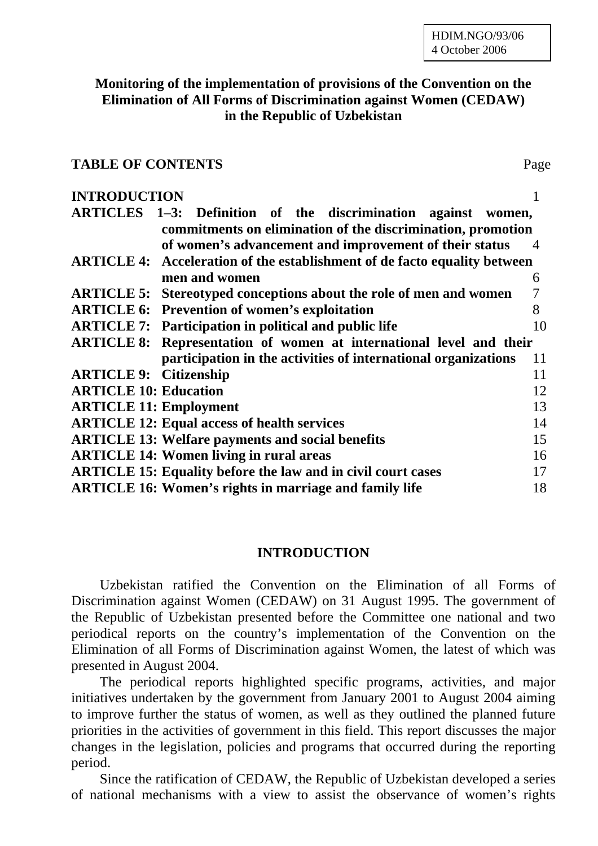# **Monitoring of the implementation of provisions of the Convention on the Elimination of All Forms of Discrimination against Women (CEDAW) in the Republic of Uzbekistan**

## **TABLE OF CONTENTS** Page

#### **INTRODUCTION** 1

|                                                                                  | ARTICLES 1-3: Definition of the discrimination against women,              |                |
|----------------------------------------------------------------------------------|----------------------------------------------------------------------------|----------------|
| commitments on elimination of the discrimination, promotion                      |                                                                            |                |
|                                                                                  | of women's advancement and improvement of their status                     | $\overline{4}$ |
| <b>ARTICLE 4:</b> Acceleration of the establishment of de facto equality between |                                                                            |                |
|                                                                                  | men and women                                                              | 6              |
| <b>ARTICLE 5:</b>                                                                | Stereotyped conceptions about the role of men and women                    | 7              |
|                                                                                  | <b>ARTICLE 6: Prevention of women's exploitation</b>                       | 8              |
|                                                                                  | <b>ARTICLE 7:</b> Participation in political and public life               | 10             |
|                                                                                  | <b>ARTICLE 8: Representation of women at international level and their</b> |                |
|                                                                                  | participation in the activities of international organizations             | 11             |
| <b>ARTICLE 9: Citizenship</b>                                                    |                                                                            | 11             |
| <b>ARTICLE 10: Education</b>                                                     |                                                                            | 12             |
| <b>ARTICLE 11: Employment</b>                                                    |                                                                            | 13             |
|                                                                                  | <b>ARTICLE 12: Equal access of health services</b>                         | 14             |
|                                                                                  | <b>ARTICLE 13: Welfare payments and social benefits</b>                    | 15             |
|                                                                                  | <b>ARTICLE 14: Women living in rural areas</b>                             | 16             |
|                                                                                  | <b>ARTICLE 15: Equality before the law and in civil court cases</b>        | 17             |
|                                                                                  | <b>ARTICLE 16: Women's rights in marriage and family life</b>              | 18             |

## **INTRODUCTION**

Uzbekistan ratified the Convention on the Elimination of all Forms of Discrimination against Women (CEDAW) on 31 August 1995. The government of the Republic of Uzbekistan presented before the Committee one national and two periodical reports on the country's implementation of the Convention on the Elimination of all Forms of Discrimination against Women, the latest of which was presented in August 2004.

The periodical reports highlighted specific programs, activities, and major initiatives undertaken by the government from January 2001 to August 2004 aiming to improve further the status of women, as well as they outlined the planned future priorities in the activities of government in this field. This report discusses the major changes in the legislation, policies and programs that occurred during the reporting period.

Since the ratification of CEDAW, the Republic of Uzbekistan developed a series of national mechanisms with a view to assist the observance of women's rights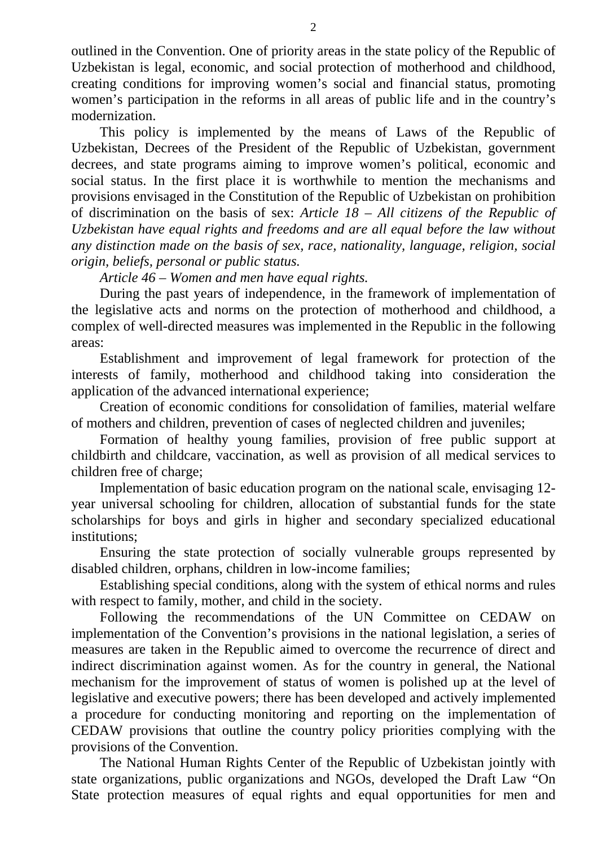outlined in the Convention. One of priority areas in the state policy of the Republic of Uzbekistan is legal, economic, and social protection of motherhood and childhood, creating conditions for improving women's social and financial status, promoting women's participation in the reforms in all areas of public life and in the country's modernization.

This policy is implemented by the means of Laws of the Republic of Uzbekistan, Decrees of the President of the Republic of Uzbekistan, government decrees, and state programs aiming to improve women's political, economic and social status. In the first place it is worthwhile to mention the mechanisms and provisions envisaged in the Constitution of the Republic of Uzbekistan on prohibition of discrimination on the basis of sex: *Article 18 – All citizens of the Republic of Uzbekistan have equal rights and freedoms and are all equal before the law without any distinction made on the basis of sex, race, nationality, language, religion, social origin, beliefs, personal or public status.*

*Article 46* – *Women and men have equal rights.* 

During the past years of independence, in the framework of implementation of the legislative acts and norms on the protection of motherhood and childhood, a complex of well-directed measures was implemented in the Republic in the following areas:

Establishment and improvement of legal framework for protection of the interests of family, motherhood and childhood taking into consideration the application of the advanced international experience;

Creation of economic conditions for consolidation of families, material welfare of mothers and children, prevention of cases of neglected children and juveniles;

Formation of healthy young families, provision of free public support at childbirth and childcare, vaccination, as well as provision of all medical services to children free of charge;

Implementation of basic education program on the national scale, envisaging 12 year universal schooling for children, allocation of substantial funds for the state scholarships for boys and girls in higher and secondary specialized educational institutions;

Ensuring the state protection of socially vulnerable groups represented by disabled children, orphans, children in low-income families;

Establishing special conditions, along with the system of ethical norms and rules with respect to family, mother, and child in the society.

Following the recommendations of the UN Committee on CEDAW on implementation of the Convention's provisions in the national legislation, a series of measures are taken in the Republic aimed to overcome the recurrence of direct and indirect discrimination against women. As for the country in general, the National mechanism for the improvement of status of women is polished up at the level of legislative and executive powers; there has been developed and actively implemented a procedure for conducting monitoring and reporting on the implementation of CEDAW provisions that outline the country policy priorities complying with the provisions of the Convention.

The National Human Rights Center of the Republic of Uzbekistan jointly with state organizations, public organizations and NGOs, developed the Draft Law "On State protection measures of equal rights and equal opportunities for men and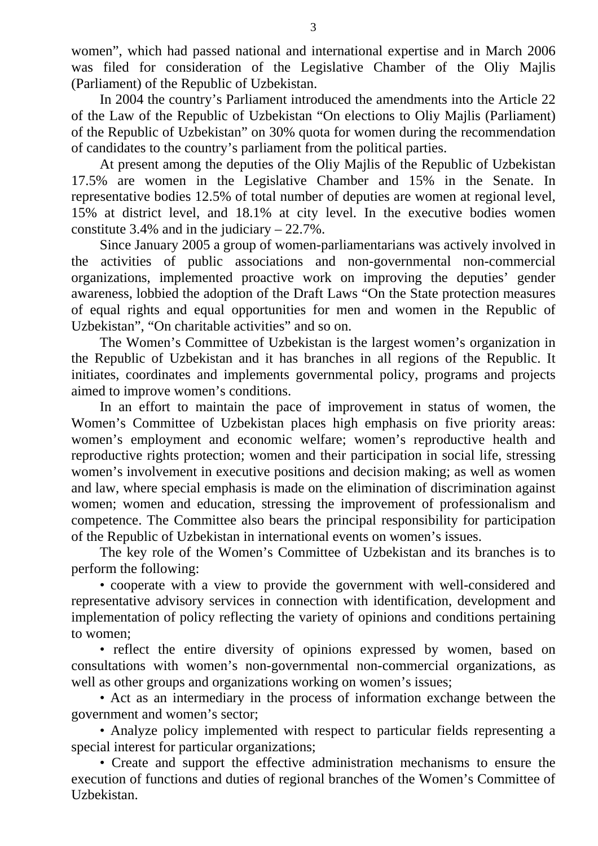women", which had passed national and international expertise and in March 2006 was filed for consideration of the Legislative Chamber of the Oliy Majlis (Parliament) of the Republic of Uzbekistan.

In 2004 the country's Parliament introduced the amendments into the Article 22 of the Law of the Republic of Uzbekistan "On elections to Oliy Majlis (Parliament) of the Republic of Uzbekistan" on 30% quota for women during the recommendation of candidates to the country's parliament from the political parties.

At present among the deputies of the Oliy Majlis of the Republic of Uzbekistan 17.5% are women in the Legislative Chamber and 15% in the Senate. In representative bodies 12.5% of total number of deputies are women at regional level, 15% at district level, and 18.1% at city level. In the executive bodies women constitute 3.4% and in the judiciary – 22.7%.

Since January 2005 a group of women-parliamentarians was actively involved in the activities of public associations and non-governmental non-commercial organizations, implemented proactive work on improving the deputies' gender awareness, lobbied the adoption of the Draft Laws "On the State protection measures of equal rights and equal opportunities for men and women in the Republic of Uzbekistan", "On charitable activities" and so on.

The Women's Committee of Uzbekistan is the largest women's organization in the Republic of Uzbekistan and it has branches in all regions of the Republic. It initiates, coordinates and implements governmental policy, programs and projects aimed to improve women's conditions.

In an effort to maintain the pace of improvement in status of women, the Women's Committee of Uzbekistan places high emphasis on five priority areas: women's employment and economic welfare; women's reproductive health and reproductive rights protection; women and their participation in social life, stressing women's involvement in executive positions and decision making; as well as women and law, where special emphasis is made on the elimination of discrimination against women; women and education, stressing the improvement of professionalism and competence. The Committee also bears the principal responsibility for participation of the Republic of Uzbekistan in international events on women's issues.

The key role of the Women's Committee of Uzbekistan and its branches is to perform the following:

• cooperate with a view to provide the government with well-considered and representative advisory services in connection with identification, development and implementation of policy reflecting the variety of opinions and conditions pertaining to women;

• reflect the entire diversity of opinions expressed by women, based on consultations with women's non-governmental non-commercial organizations, as well as other groups and organizations working on women's issues;

• Act as an intermediary in the process of information exchange between the government and women's sector;

• Analyze policy implemented with respect to particular fields representing a special interest for particular organizations;

• Create and support the effective administration mechanisms to ensure the execution of functions and duties of regional branches of the Women's Committee of Uzbekistan.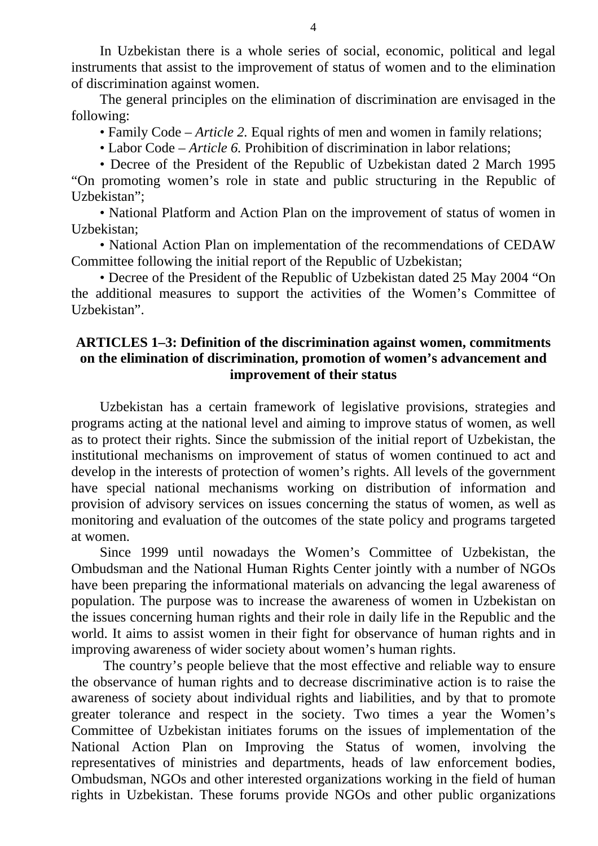In Uzbekistan there is a whole series of social, economic, political and legal instruments that assist to the improvement of status of women and to the elimination of discrimination against women.

The general principles on the elimination of discrimination are envisaged in the following:

• Family Code – *Article 2.* Equal rights of men and women in family relations;

• Labor Code – *Article 6.* Prohibition of discrimination in labor relations;

• Decree of the President of the Republic of Uzbekistan dated 2 March 1995 "On promoting women's role in state and public structuring in the Republic of Uzbekistan";

• National Platform and Action Plan on the improvement of status of women in Uzbekistan;

• National Action Plan on implementation of the recommendations of CEDAW Committee following the initial report of the Republic of Uzbekistan;

• Decree of the President of the Republic of Uzbekistan dated 25 May 2004 "On the additional measures to support the activities of the Women's Committee of Uzbekistan".

## **ARTICLES 1–3: Definition of the discrimination against women, commitments on the elimination of discrimination, promotion of women's advancement and improvement of their status**

Uzbekistan has a certain framework of legislative provisions, strategies and programs acting at the national level and aiming to improve status of women, as well as to protect their rights. Since the submission of the initial report of Uzbekistan, the institutional mechanisms on improvement of status of women continued to act and develop in the interests of protection of women's rights. All levels of the government have special national mechanisms working on distribution of information and provision of advisory services on issues concerning the status of women, as well as monitoring and evaluation of the outcomes of the state policy and programs targeted at women.

Since 1999 until nowadays the Women's Committee of Uzbekistan, the Ombudsman and the National Human Rights Center jointly with a number of NGOs have been preparing the informational materials on advancing the legal awareness of population. The purpose was to increase the awareness of women in Uzbekistan on the issues concerning human rights and their role in daily life in the Republic and the world. It aims to assist women in their fight for observance of human rights and in improving awareness of wider society about women's human rights.

 The country's people believe that the most effective and reliable way to ensure the observance of human rights and to decrease discriminative action is to raise the awareness of society about individual rights and liabilities, and by that to promote greater tolerance and respect in the society. Two times a year the Women's Committee of Uzbekistan initiates forums on the issues of implementation of the National Action Plan on Improving the Status of women, involving the representatives of ministries and departments, heads of law enforcement bodies, Ombudsman, NGOs and other interested organizations working in the field of human rights in Uzbekistan. These forums provide NGOs and other public organizations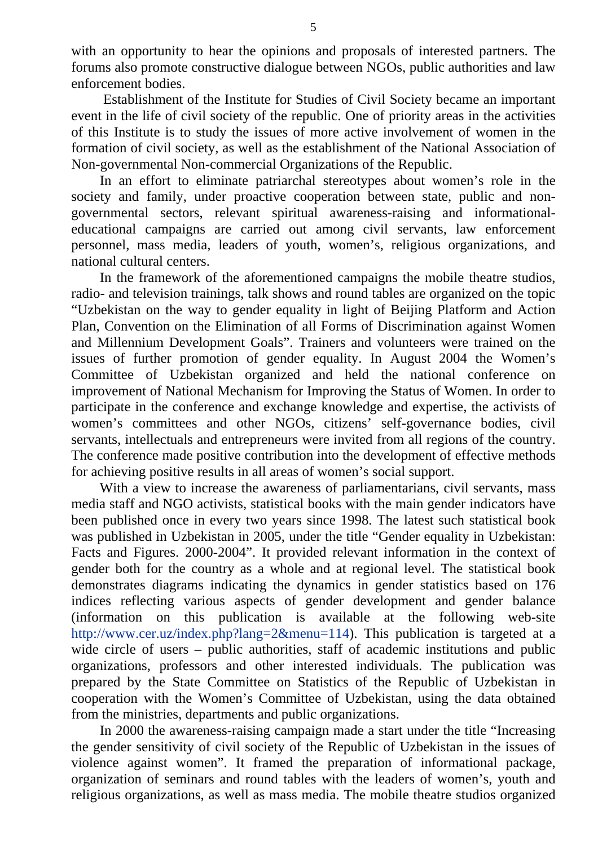with an opportunity to hear the opinions and proposals of interested partners. The forums also promote constructive dialogue between NGOs, public authorities and law enforcement bodies.

 Establishment of the Institute for Studies of Civil Society became an important event in the life of civil society of the republic. One of priority areas in the activities of this Institute is to study the issues of more active involvement of women in the formation of civil society, as well as the establishment of the National Association of Non-governmental Non-commercial Organizations of the Republic.

In an effort to eliminate patriarchal stereotypes about women's role in the society and family, under proactive cooperation between state, public and nongovernmental sectors, relevant spiritual awareness-raising and informationaleducational campaigns are carried out among civil servants, law enforcement personnel, mass media, leaders of youth, women's, religious organizations, and national cultural centers.

In the framework of the aforementioned campaigns the mobile theatre studios, radio- and television trainings, talk shows and round tables are organized on the topic "Uzbekistan on the way to gender equality in light of Beijing Platform and Action Plan, Convention on the Elimination of all Forms of Discrimination against Women and Millennium Development Goals". Trainers and volunteers were trained on the issues of further promotion of gender equality. In August 2004 the Women's Committee of Uzbekistan organized and held the national conference on improvement of National Mechanism for Improving the Status of Women. In order to participate in the conference and exchange knowledge and expertise, the activists of women's committees and other NGOs, citizens' self-governance bodies, civil servants, intellectuals and entrepreneurs were invited from all regions of the country. The conference made positive contribution into the development of effective methods for achieving positive results in all areas of women's social support.

With a view to increase the awareness of parliamentarians, civil servants, mass media staff and NGO activists, statistical books with the main gender indicators have been published once in every two years since 1998. The latest such statistical book was published in Uzbekistan in 2005, under the title "Gender equality in Uzbekistan: Facts and Figures. 2000-2004". It provided relevant information in the context of gender both for the country as a whole and at regional level. The statistical book demonstrates diagrams indicating the dynamics in gender statistics based on 176 indices reflecting various aspects of gender development and gender balance (information on this publication is available at the following web-site [http://www.cer.uz/index.php?lang=2&menu=114\)](http://www.cer.uz/index.php?lang=2&menu=114). This publication is targeted at a wide circle of users – public authorities, staff of academic institutions and public organizations, professors and other interested individuals. The publication was prepared by the State Committee on Statistics of the Republic of Uzbekistan in cooperation with the Women's Committee of Uzbekistan, using the data obtained from the ministries, departments and public organizations.

In 2000 the awareness-raising campaign made a start under the title "Increasing the gender sensitivity of civil society of the Republic of Uzbekistan in the issues of violence against women". It framed the preparation of informational package, organization of seminars and round tables with the leaders of women's, youth and religious organizations, as well as mass media. The mobile theatre studios organized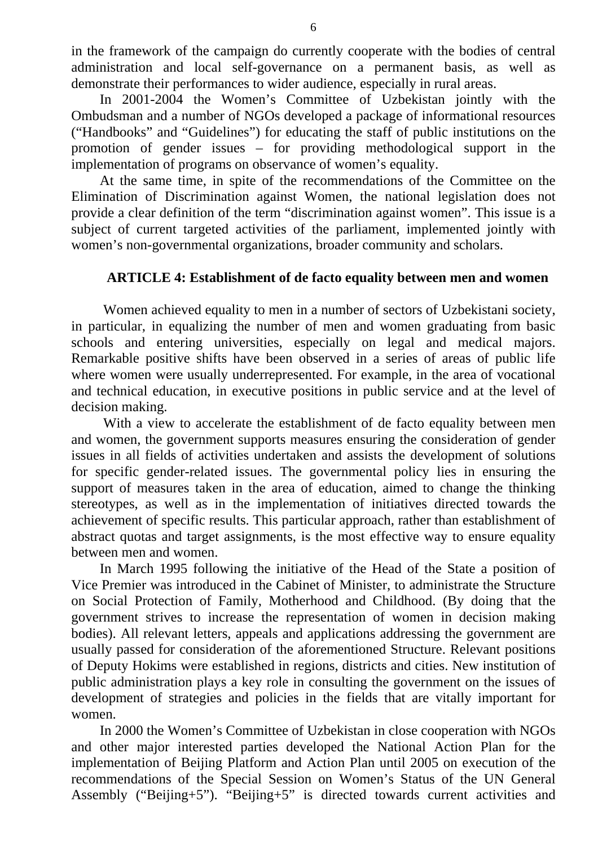in the framework of the campaign do currently cooperate with the bodies of central administration and local self-governance on a permanent basis, as well as demonstrate their performances to wider audience, especially in rural areas.

In 2001-2004 the Women's Committee of Uzbekistan jointly with the Ombudsman and a number of NGOs developed a package of informational resources ("Handbooks" and "Guidelines") for educating the staff of public institutions on the promotion of gender issues – for providing methodological support in the implementation of programs on observance of women's equality.

At the same time, in spite of the recommendations of the Committee on the Elimination of Discrimination against Women, the national legislation does not provide a clear definition of the term "discrimination against women". This issue is a subject of current targeted activities of the parliament, implemented jointly with women's non-governmental organizations, broader community and scholars.

# **ARTICLE 4: Establishment of de facto equality between men and women**

 Women achieved equality to men in a number of sectors of Uzbekistani society, in particular, in equalizing the number of men and women graduating from basic schools and entering universities, especially on legal and medical majors. Remarkable positive shifts have been observed in a series of areas of public life where women were usually underrepresented. For example, in the area of vocational and technical education, in executive positions in public service and at the level of decision making.

 With a view to accelerate the establishment of de facto equality between men and women, the government supports measures ensuring the consideration of gender issues in all fields of activities undertaken and assists the development of solutions for specific gender-related issues. The governmental policy lies in ensuring the support of measures taken in the area of education, aimed to change the thinking stereotypes, as well as in the implementation of initiatives directed towards the achievement of specific results. This particular approach, rather than establishment of abstract quotas and target assignments, is the most effective way to ensure equality between men and women.

In March 1995 following the initiative of the Head of the State a position of Vice Premier was introduced in the Cabinet of Minister, to administrate the Structure on Social Protection of Family, Motherhood and Childhood. (By doing that the government strives to increase the representation of women in decision making bodies). All relevant letters, appeals and applications addressing the government are usually passed for consideration of the aforementioned Structure. Relevant positions of Deputy Hokims were established in regions, districts and cities. New institution of public administration plays a key role in consulting the government on the issues of development of strategies and policies in the fields that are vitally important for women.

In 2000 the Women's Committee of Uzbekistan in close cooperation with NGOs and other major interested parties developed the National Action Plan for the implementation of Beijing Platform and Action Plan until 2005 on execution of the recommendations of the Special Session on Women's Status of the UN General Assembly ("Beijing+5"). "Beijing+5" is directed towards current activities and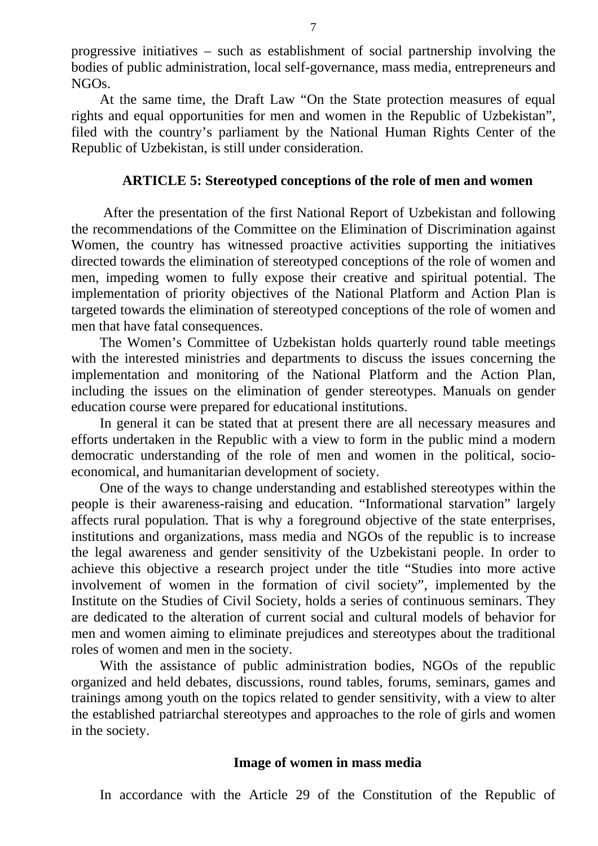progressive initiatives – such as establishment of social partnership involving the bodies of public administration, local self-governance, mass media, entrepreneurs and NGOs.

At the same time, the Draft Law "On the State protection measures of equal rights and equal opportunities for men and women in the Republic of Uzbekistan", filed with the country's parliament by the National Human Rights Center of the Republic of Uzbekistan, is still under consideration.

#### **ARTICLE 5: Stereotyped conceptions of the role of men and women**

 After the presentation of the first National Report of Uzbekistan and following the recommendations of the Committee on the Elimination of Discrimination against Women, the country has witnessed proactive activities supporting the initiatives directed towards the elimination of stereotyped conceptions of the role of women and men, impeding women to fully expose their creative and spiritual potential. The implementation of priority objectives of the National Platform and Action Plan is targeted towards the elimination of stereotyped conceptions of the role of women and men that have fatal consequences.

The Women's Committee of Uzbekistan holds quarterly round table meetings with the interested ministries and departments to discuss the issues concerning the implementation and monitoring of the National Platform and the Action Plan, including the issues on the elimination of gender stereotypes. Manuals on gender education course were prepared for educational institutions.

In general it can be stated that at present there are all necessary measures and efforts undertaken in the Republic with a view to form in the public mind a modern democratic understanding of the role of men and women in the political, socioeconomical, and humanitarian development of society.

One of the ways to change understanding and established stereotypes within the people is their awareness-raising and education. "Informational starvation" largely affects rural population. That is why a foreground objective of the state enterprises, institutions and organizations, mass media and NGOs of the republic is to increase the legal awareness and gender sensitivity of the Uzbekistani people. In order to achieve this objective a research project under the title "Studies into more active involvement of women in the formation of civil society", implemented by the Institute on the Studies of Civil Society, holds a series of continuous seminars. They are dedicated to the alteration of current social and cultural models of behavior for men and women aiming to eliminate prejudices and stereotypes about the traditional roles of women and men in the society.

With the assistance of public administration bodies, NGOs of the republic organized and held debates, discussions, round tables, forums, seminars, games and trainings among youth on the topics related to gender sensitivity, with a view to alter the established patriarchal stereotypes and approaches to the role of girls and women in the society.

#### **Image of women in mass media**

In accordance with the Article 29 of the Constitution of the Republic of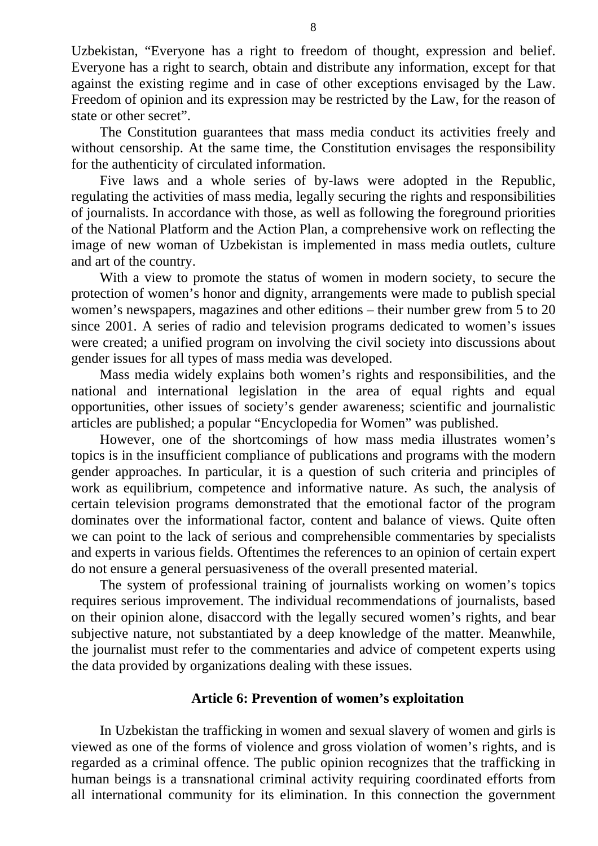Uzbekistan, "Everyone has a right to freedom of thought, expression and belief. Everyone has a right to search, obtain and distribute any information, except for that against the existing regime and in case of other exceptions envisaged by the Law. Freedom of opinion and its expression may be restricted by the Law, for the reason of state or other secret".

The Constitution guarantees that mass media conduct its activities freely and without censorship. At the same time, the Constitution envisages the responsibility for the authenticity of circulated information.

Five laws and a whole series of by-laws were adopted in the Republic, regulating the activities of mass media, legally securing the rights and responsibilities of journalists. In accordance with those, as well as following the foreground priorities of the National Platform and the Action Plan, a comprehensive work on reflecting the image of new woman of Uzbekistan is implemented in mass media outlets, culture and art of the country.

With a view to promote the status of women in modern society, to secure the protection of women's honor and dignity, arrangements were made to publish special women's newspapers, magazines and other editions – their number grew from 5 to 20 since 2001. A series of radio and television programs dedicated to women's issues were created; a unified program on involving the civil society into discussions about gender issues for all types of mass media was developed.

Mass media widely explains both women's rights and responsibilities, and the national and international legislation in the area of equal rights and equal opportunities, other issues of society's gender awareness; scientific and journalistic articles are published; a popular "Encyclopedia for Women" was published.

However, one of the shortcomings of how mass media illustrates women's topics is in the insufficient compliance of publications and programs with the modern gender approaches. In particular, it is a question of such criteria and principles of work as equilibrium, competence and informative nature. As such, the analysis of certain television programs demonstrated that the emotional factor of the program dominates over the informational factor, content and balance of views. Quite often we can point to the lack of serious and comprehensible commentaries by specialists and experts in various fields. Oftentimes the references to an opinion of certain expert do not ensure a general persuasiveness of the overall presented material.

The system of professional training of journalists working on women's topics requires serious improvement. The individual recommendations of journalists, based on their opinion alone, disaccord with the legally secured women's rights, and bear subjective nature, not substantiated by a deep knowledge of the matter. Meanwhile, the journalist must refer to the commentaries and advice of competent experts using the data provided by organizations dealing with these issues.

## **Article 6: Prevention of women's exploitation**

In Uzbekistan the trafficking in women and sexual slavery of women and girls is viewed as one of the forms of violence and gross violation of women's rights, and is regarded as a criminal offence. The public opinion recognizes that the trafficking in human beings is a transnational criminal activity requiring coordinated efforts from all international community for its elimination. In this connection the government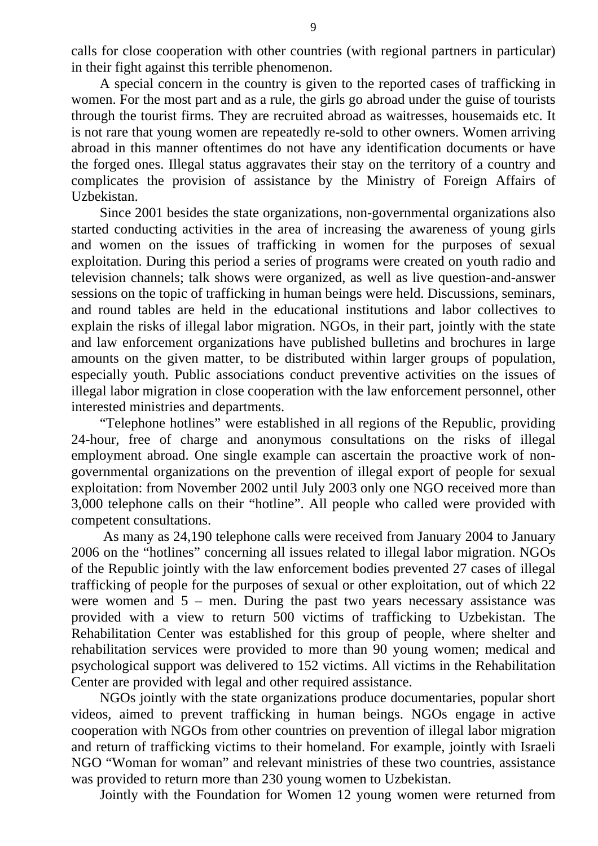calls for close cooperation with other countries (with regional partners in particular) in their fight against this terrible phenomenon.

A special concern in the country is given to the reported cases of trafficking in women. For the most part and as a rule, the girls go abroad under the guise of tourists through the tourist firms. They are recruited abroad as waitresses, housemaids etc. It is not rare that young women are repeatedly re-sold to other owners. Women arriving abroad in this manner oftentimes do not have any identification documents or have the forged ones. Illegal status aggravates their stay on the territory of a country and complicates the provision of assistance by the Ministry of Foreign Affairs of Uzbekistan.

Since 2001 besides the state organizations, non-governmental organizations also started conducting activities in the area of increasing the awareness of young girls and women on the issues of trafficking in women for the purposes of sexual exploitation. During this period a series of programs were created on youth radio and television channels; talk shows were organized, as well as live question-and-answer sessions on the topic of trafficking in human beings were held. Discussions, seminars, and round tables are held in the educational institutions and labor collectives to explain the risks of illegal labor migration. NGOs, in their part, jointly with the state and law enforcement organizations have published bulletins and brochures in large amounts on the given matter, to be distributed within larger groups of population, especially youth. Public associations conduct preventive activities on the issues of illegal labor migration in close cooperation with the law enforcement personnel, other interested ministries and departments.

"Telephone hotlines" were established in all regions of the Republic, providing 24-hour, free of charge and anonymous consultations on the risks of illegal employment abroad. One single example can ascertain the proactive work of nongovernmental organizations on the prevention of illegal export of people for sexual exploitation: from November 2002 until July 2003 only one NGO received more than 3,000 telephone calls on their "hotline". All people who called were provided with competent consultations.

 As many as 24,190 telephone calls were received from January 2004 to January 2006 on the "hotlines" concerning all issues related to illegal labor migration. NGOs of the Republic jointly with the law enforcement bodies prevented 27 cases of illegal trafficking of people for the purposes of sexual or other exploitation, out of which 22 were women and  $5$  – men. During the past two years necessary assistance was provided with a view to return 500 victims of trafficking to Uzbekistan. The Rehabilitation Center was established for this group of people, where shelter and rehabilitation services were provided to more than 90 young women; medical and psychological support was delivered to 152 victims. All victims in the Rehabilitation Center are provided with legal and other required assistance.

NGOs jointly with the state organizations produce documentaries, popular short videos, aimed to prevent trafficking in human beings. NGOs engage in active cooperation with NGOs from other countries on prevention of illegal labor migration and return of trafficking victims to their homeland. For example, jointly with Israeli NGO "Woman for woman" and relevant ministries of these two countries, assistance was provided to return more than 230 young women to Uzbekistan.

Jointly with the Foundation for Women 12 young women were returned from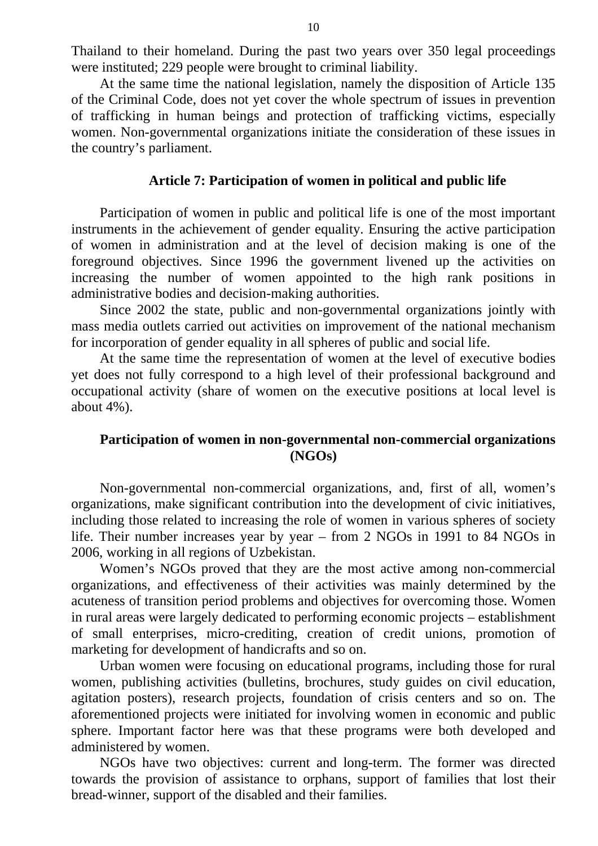Thailand to their homeland. During the past two years over 350 legal proceedings were instituted; 229 people were brought to criminal liability.

At the same time the national legislation, namely the disposition of Article 135 of the Criminal Code, does not yet cover the whole spectrum of issues in prevention of trafficking in human beings and protection of trafficking victims, especially women. Non-governmental organizations initiate the consideration of these issues in the country's parliament.

#### **Article 7: Participation of women in political and public life**

Participation of women in public and political life is one of the most important instruments in the achievement of gender equality. Ensuring the active participation of women in administration and at the level of decision making is one of the foreground objectives. Since 1996 the government livened up the activities on increasing the number of women appointed to the high rank positions in administrative bodies and decision-making authorities.

Since 2002 the state, public and non-governmental organizations jointly with mass media outlets carried out activities on improvement of the national mechanism for incorporation of gender equality in all spheres of public and social life.

At the same time the representation of women at the level of executive bodies yet does not fully correspond to a high level of their professional background and occupational activity (share of women on the executive positions at local level is about 4%).

## **Participation of women in non-governmental non-commercial organizations (NGOs)**

Non-governmental non-commercial organizations, and, first of all, women's organizations, make significant contribution into the development of civic initiatives, including those related to increasing the role of women in various spheres of society life. Their number increases year by year – from 2 NGOs in 1991 to 84 NGOs in 2006, working in all regions of Uzbekistan.

Women's NGOs proved that they are the most active among non-commercial organizations, and effectiveness of their activities was mainly determined by the acuteness of transition period problems and objectives for overcoming those. Women in rural areas were largely dedicated to performing economic projects – establishment of small enterprises, micro-crediting, creation of credit unions, promotion of marketing for development of handicrafts and so on.

Urban women were focusing on educational programs, including those for rural women, publishing activities (bulletins, brochures, study guides on civil education, agitation posters), research projects, foundation of crisis centers and so on. The aforementioned projects were initiated for involving women in economic and public sphere. Important factor here was that these programs were both developed and administered by women.

NGOs have two objectives: current and long-term. The former was directed towards the provision of assistance to orphans, support of families that lost their bread-winner, support of the disabled and their families.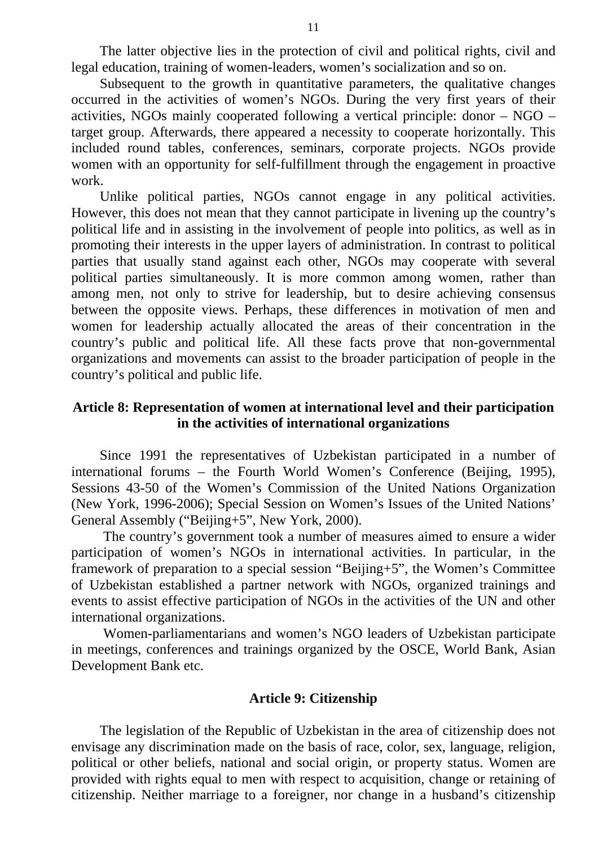The latter objective lies in the protection of civil and political rights, civil and legal education, training of women-leaders, women's socialization and so on.

Subsequent to the growth in quantitative parameters, the qualitative changes occurred in the activities of women's NGOs. During the very first years of their activities, NGOs mainly cooperated following a vertical principle: donor – NGO – target group. Afterwards, there appeared a necessity to cooperate horizontally. This included round tables, conferences, seminars, corporate projects. NGOs provide women with an opportunity for self-fulfillment through the engagement in proactive work.

Unlike political parties, NGOs cannot engage in any political activities. However, this does not mean that they cannot participate in livening up the country's political life and in assisting in the involvement of people into politics, as well as in promoting their interests in the upper layers of administration. In contrast to political parties that usually stand against each other, NGOs may cooperate with several political parties simultaneously. It is more common among women, rather than among men, not only to strive for leadership, but to desire achieving consensus between the opposite views. Perhaps, these differences in motivation of men and women for leadership actually allocated the areas of their concentration in the country's public and political life. All these facts prove that non-governmental organizations and movements can assist to the broader participation of people in the country's political and public life.

## **Article 8: Representation of women at international level and their participation in the activities of international organizations**

Since 1991 the representatives of Uzbekistan participated in a number of international forums – the Fourth World Women's Conference (Beijing, 1995), Sessions 43-50 of the Women's Commission of the United Nations Organization (New York, 1996-2006); Special Session on Women's Issues of the United Nations' General Assembly ("Beijing+5", New York, 2000).

 The country's government took a number of measures aimed to ensure a wider participation of women's NGOs in international activities. In particular, in the framework of preparation to a special session "Beijing+5", the Women's Committee of Uzbekistan established a partner network with NGOs, organized trainings and events to assist effective participation of NGOs in the activities of the UN and other international organizations.

 Women-parliamentarians and women's NGO leaders of Uzbekistan participate in meetings, conferences and trainings organized by the OSCE, World Bank, Asian Development Bank etc.

#### **Article 9: Citizenship**

The legislation of the Republic of Uzbekistan in the area of citizenship does not envisage any discrimination made on the basis of race, color, sex, language, religion, political or other beliefs, national and social origin, or property status. Women are provided with rights equal to men with respect to acquisition, change or retaining of citizenship. Neither marriage to a foreigner, nor change in a husband's citizenship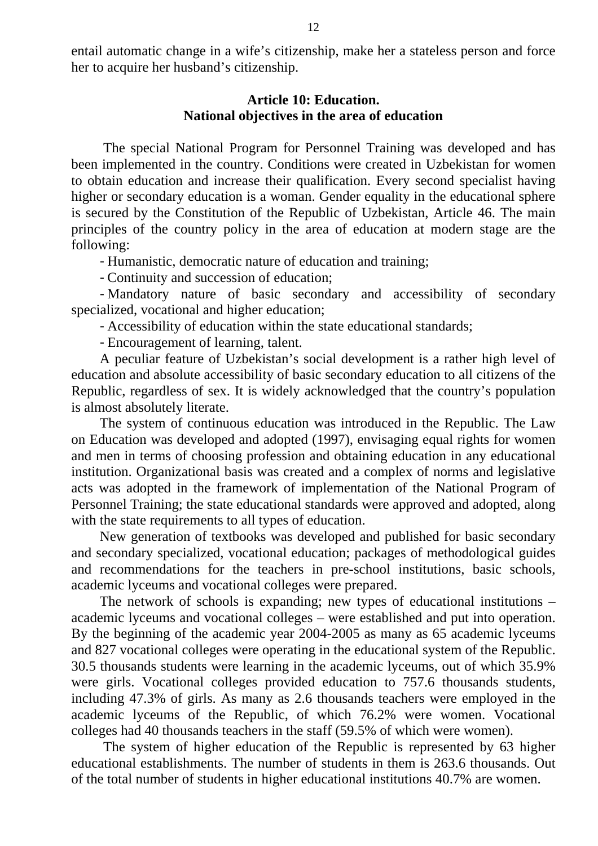entail automatic change in a wife's citizenship, make her a stateless person and force her to acquire her husband's citizenship.

#### **Article 10: Education. National objectives in the area of education**

 The special National Program for Personnel Training was developed and has been implemented in the country. Conditions were created in Uzbekistan for women to obtain education and increase their qualification. Every second specialist having higher or secondary education is a woman. Gender equality in the educational sphere is secured by the Constitution of the Republic of Uzbekistan, Article 46. The main principles of the country policy in the area of education at modern stage are the following:

- Humanistic, democratic nature of education and training;

- Continuity and succession of education;

- Mandatory nature of basic secondary and accessibility of secondary specialized, vocational and higher education;

- Accessibility of education within the state educational standards;

- Encouragement of learning, talent.

A peculiar feature of Uzbekistan's social development is a rather high level of education and absolute accessibility of basic secondary education to all citizens of the Republic, regardless of sex. It is widely acknowledged that the country's population is almost absolutely literate.

The system of continuous education was introduced in the Republic. The Law on Education was developed and adopted (1997), envisaging equal rights for women and men in terms of choosing profession and obtaining education in any educational institution. Organizational basis was created and a complex of norms and legislative acts was adopted in the framework of implementation of the National Program of Personnel Training; the state educational standards were approved and adopted, along with the state requirements to all types of education.

New generation of textbooks was developed and published for basic secondary and secondary specialized, vocational education; packages of methodological guides and recommendations for the teachers in pre-school institutions, basic schools, academic lyceums and vocational colleges were prepared.

The network of schools is expanding; new types of educational institutions – academic lyceums and vocational colleges – were established and put into operation. By the beginning of the academic year 2004-2005 as many as 65 academic lyceums and 827 vocational colleges were operating in the educational system of the Republic. 30.5 thousands students were learning in the academic lyceums, out of which 35.9% were girls. Vocational colleges provided education to 757.6 thousands students, including 47.3% of girls. As many as 2.6 thousands teachers were employed in the academic lyceums of the Republic, of which 76.2% were women. Vocational colleges had 40 thousands teachers in the staff (59.5% of which were women).

 The system of higher education of the Republic is represented by 63 higher educational establishments. The number of students in them is 263.6 thousands. Out of the total number of students in higher educational institutions 40.7% are women.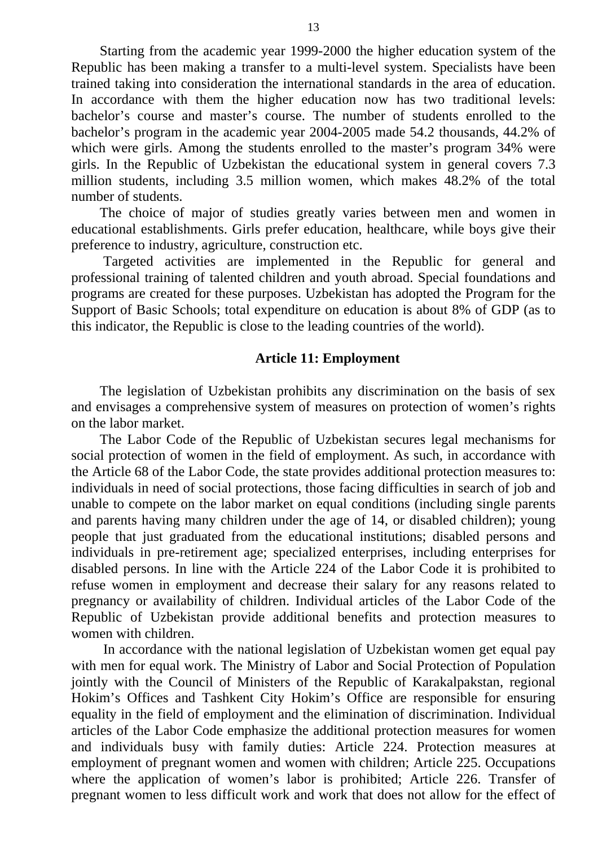Starting from the academic year 1999-2000 the higher education system of the Republic has been making a transfer to a multi-level system. Specialists have been trained taking into consideration the international standards in the area of education. In accordance with them the higher education now has two traditional levels: bachelor's course and master's course. The number of students enrolled to the bachelor's program in the academic year 2004-2005 made 54.2 thousands, 44.2% of which were girls. Among the students enrolled to the master's program 34% were girls. In the Republic of Uzbekistan the educational system in general covers 7.3 million students, including 3.5 million women, which makes 48.2% of the total number of students.

The choice of major of studies greatly varies between men and women in educational establishments. Girls prefer education, healthcare, while boys give their preference to industry, agriculture, construction etc.

 Targeted activities are implemented in the Republic for general and professional training of talented children and youth abroad. Special foundations and programs are created for these purposes. Uzbekistan has adopted the Program for the Support of Basic Schools; total expenditure on education is about 8% of GDP (as to this indicator, the Republic is close to the leading countries of the world).

#### **Article 11: Employment**

The legislation of Uzbekistan prohibits any discrimination on the basis of sex and envisages a comprehensive system of measures on protection of women's rights on the labor market.

The Labor Code of the Republic of Uzbekistan secures legal mechanisms for social protection of women in the field of employment. As such, in accordance with the Article 68 of the Labor Code, the state provides additional protection measures to: individuals in need of social protections, those facing difficulties in search of job and unable to compete on the labor market on equal conditions (including single parents and parents having many children under the age of 14, or disabled children); young people that just graduated from the educational institutions; disabled persons and individuals in pre-retirement age; specialized enterprises, including enterprises for disabled persons. In line with the Article 224 of the Labor Code it is prohibited to refuse women in employment and decrease their salary for any reasons related to pregnancy or availability of children. Individual articles of the Labor Code of the Republic of Uzbekistan provide additional benefits and protection measures to women with children.

 In accordance with the national legislation of Uzbekistan women get equal pay with men for equal work. The Ministry of Labor and Social Protection of Population jointly with the Council of Ministers of the Republic of Karakalpakstan, regional Hokim's Offices and Tashkent City Hokim's Office are responsible for ensuring equality in the field of employment and the elimination of discrimination. Individual articles of the Labor Code emphasize the additional protection measures for women and individuals busy with family duties: Article 224. Protection measures at employment of pregnant women and women with children; Article 225. Occupations where the application of women's labor is prohibited; Article 226. Transfer of pregnant women to less difficult work and work that does not allow for the effect of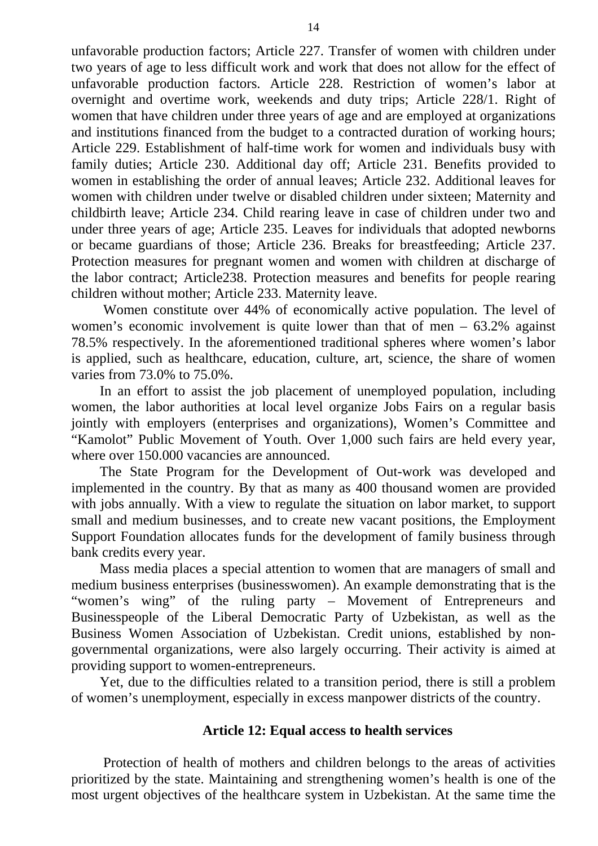unfavorable production factors; Article 227. Transfer of women with children under two years of age to less difficult work and work that does not allow for the effect of unfavorable production factors. Article 228. Restriction of women's labor at overnight and overtime work, weekends and duty trips; Article 228/1. Right of women that have children under three years of age and are employed at organizations and institutions financed from the budget to a contracted duration of working hours; Article 229. Establishment of half-time work for women and individuals busy with family duties; Article 230. Additional day off; Article 231. Benefits provided to women in establishing the order of annual leaves; Article 232. Additional leaves for women with children under twelve or disabled children under sixteen; Maternity and childbirth leave; Article 234. Child rearing leave in case of children under two and under three years of age; Article 235. Leaves for individuals that adopted newborns or became guardians of those; Article 236. Breaks for breastfeeding; Article 237. Protection measures for pregnant women and women with children at discharge of the labor contract; Article238. Protection measures and benefits for people rearing children without mother; Article 233. Maternity leave.

 Women constitute over 44% of economically active population. The level of women's economic involvement is quite lower than that of men – 63.2% against 78.5% respectively. In the aforementioned traditional spheres where women's labor is applied, such as healthcare, education, culture, art, science, the share of women varies from 73.0% to 75.0%.

In an effort to assist the job placement of unemployed population, including women, the labor authorities at local level organize Jobs Fairs on a regular basis jointly with employers (enterprises and organizations), Women's Committee and "Kamolot" Public Movement of Youth. Over 1,000 such fairs are held every year, where over 150,000 vacancies are announced.

The State Program for the Development of Out-work was developed and implemented in the country. By that as many as 400 thousand women are provided with jobs annually. With a view to regulate the situation on labor market, to support small and medium businesses, and to create new vacant positions, the Employment Support Foundation allocates funds for the development of family business through bank credits every year.

Mass media places a special attention to women that are managers of small and medium business enterprises (businesswomen). An example demonstrating that is the "women's wing" of the ruling party – Movement of Entrepreneurs and Businesspeople of the Liberal Democratic Party of Uzbekistan, as well as the Business Women Association of Uzbekistan. Credit unions, established by nongovernmental organizations, were also largely occurring. Their activity is aimed at providing support to women-entrepreneurs.

Yet, due to the difficulties related to a transition period, there is still a problem of women's unemployment, especially in excess manpower districts of the country.

## **Article 12: Equal access to health services**

 Protection of health of mothers and children belongs to the areas of activities prioritized by the state. Maintaining and strengthening women's health is one of the most urgent objectives of the healthcare system in Uzbekistan. At the same time the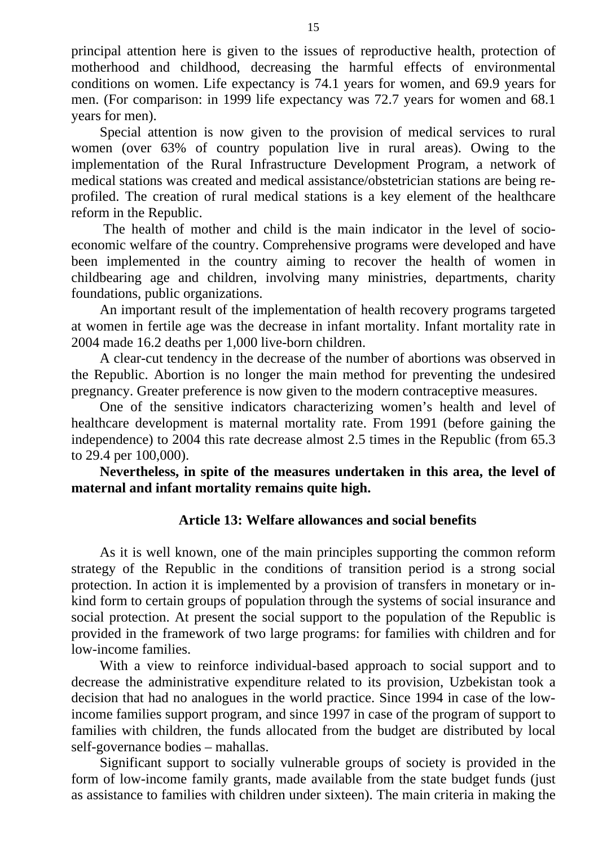principal attention here is given to the issues of reproductive health, protection of motherhood and childhood, decreasing the harmful effects of environmental conditions on women. Life expectancy is 74.1 years for women, and 69.9 years for men. (For comparison: in 1999 life expectancy was 72.7 years for women and 68.1 years for men).

Special attention is now given to the provision of medical services to rural women (over 63% of country population live in rural areas). Owing to the implementation of the Rural Infrastructure Development Program, a network of medical stations was created and medical assistance/obstetrician stations are being reprofiled. The creation of rural medical stations is a key element of the healthcare reform in the Republic.

 The health of mother and child is the main indicator in the level of socioeconomic welfare of the country. Comprehensive programs were developed and have been implemented in the country aiming to recover the health of women in childbearing age and children, involving many ministries, departments, charity foundations, public organizations.

An important result of the implementation of health recovery programs targeted at women in fertile age was the decrease in infant mortality. Infant mortality rate in 2004 made 16.2 deaths per 1,000 live-born children.

A clear-cut tendency in the decrease of the number of abortions was observed in the Republic. Abortion is no longer the main method for preventing the undesired pregnancy. Greater preference is now given to the modern contraceptive measures.

One of the sensitive indicators characterizing women's health and level of healthcare development is maternal mortality rate. From 1991 (before gaining the independence) to 2004 this rate decrease almost 2.5 times in the Republic (from 65.3 to 29.4 per 100,000).

**Nevertheless, in spite of the measures undertaken in this area, the level of maternal and infant mortality remains quite high.** 

## **Article 13: Welfare allowances and social benefits**

As it is well known, one of the main principles supporting the common reform strategy of the Republic in the conditions of transition period is a strong social protection. In action it is implemented by a provision of transfers in monetary or inkind form to certain groups of population through the systems of social insurance and social protection. At present the social support to the population of the Republic is provided in the framework of two large programs: for families with children and for low-income families.

With a view to reinforce individual-based approach to social support and to decrease the administrative expenditure related to its provision, Uzbekistan took a decision that had no analogues in the world practice. Since 1994 in case of the lowincome families support program, and since 1997 in case of the program of support to families with children, the funds allocated from the budget are distributed by local self-governance bodies – mahallas.

Significant support to socially vulnerable groups of society is provided in the form of low-income family grants, made available from the state budget funds (just as assistance to families with children under sixteen). The main criteria in making the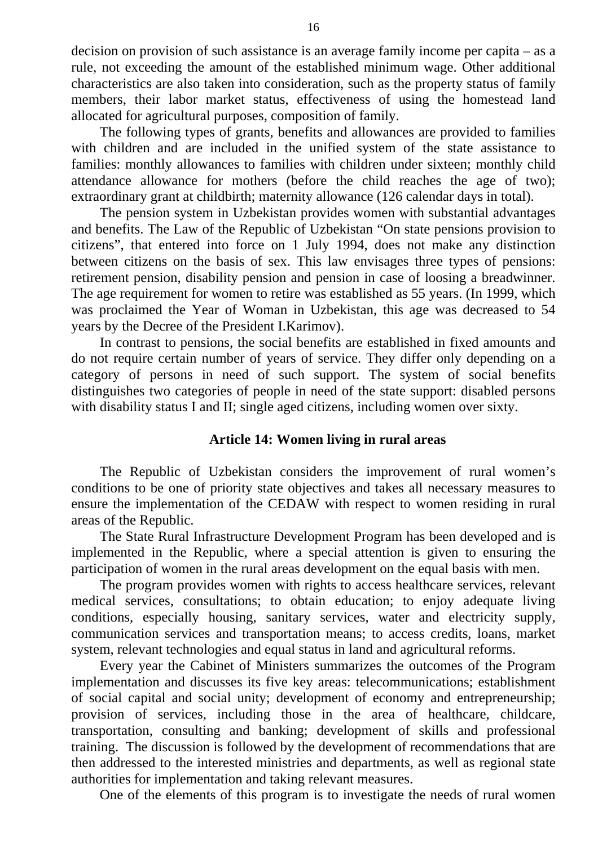decision on provision of such assistance is an average family income per capita – as a rule, not exceeding the amount of the established minimum wage. Other additional characteristics are also taken into consideration, such as the property status of family members, their labor market status, effectiveness of using the homestead land allocated for agricultural purposes, composition of family.

The following types of grants, benefits and allowances are provided to families with children and are included in the unified system of the state assistance to families: monthly allowances to families with children under sixteen; monthly child attendance allowance for mothers (before the child reaches the age of two); extraordinary grant at childbirth; maternity allowance (126 calendar days in total).

The pension system in Uzbekistan provides women with substantial advantages and benefits. The Law of the Republic of Uzbekistan "On state pensions provision to citizens", that entered into force on 1 July 1994, does not make any distinction between citizens on the basis of sex. This law envisages three types of pensions: retirement pension, disability pension and pension in case of loosing a breadwinner. The age requirement for women to retire was established as 55 years. (In 1999, which was proclaimed the Year of Woman in Uzbekistan, this age was decreased to 54 years by the Decree of the President I.Karimov).

In contrast to pensions, the social benefits are established in fixed amounts and do not require certain number of years of service. They differ only depending on a category of persons in need of such support. The system of social benefits distinguishes two categories of people in need of the state support: disabled persons with disability status I and II; single aged citizens, including women over sixty.

## **Article 14: Women living in rural areas**

The Republic of Uzbekistan considers the improvement of rural women's conditions to be one of priority state objectives and takes all necessary measures to ensure the implementation of the CEDAW with respect to women residing in rural areas of the Republic.

The State Rural Infrastructure Development Program has been developed and is implemented in the Republic, where a special attention is given to ensuring the participation of women in the rural areas development on the equal basis with men.

The program provides women with rights to access healthcare services, relevant medical services, consultations; to obtain education; to enjoy adequate living conditions, especially housing, sanitary services, water and electricity supply, communication services and transportation means; to access credits, loans, market system, relevant technologies and equal status in land and agricultural reforms.

Every year the Cabinet of Ministers summarizes the outcomes of the Program implementation and discusses its five key areas: telecommunications; establishment of social capital and social unity; development of economy and entrepreneurship; provision of services, including those in the area of healthcare, childcare, transportation, consulting and banking; development of skills and professional training. The discussion is followed by the development of recommendations that are then addressed to the interested ministries and departments, as well as regional state authorities for implementation and taking relevant measures.

One of the elements of this program is to investigate the needs of rural women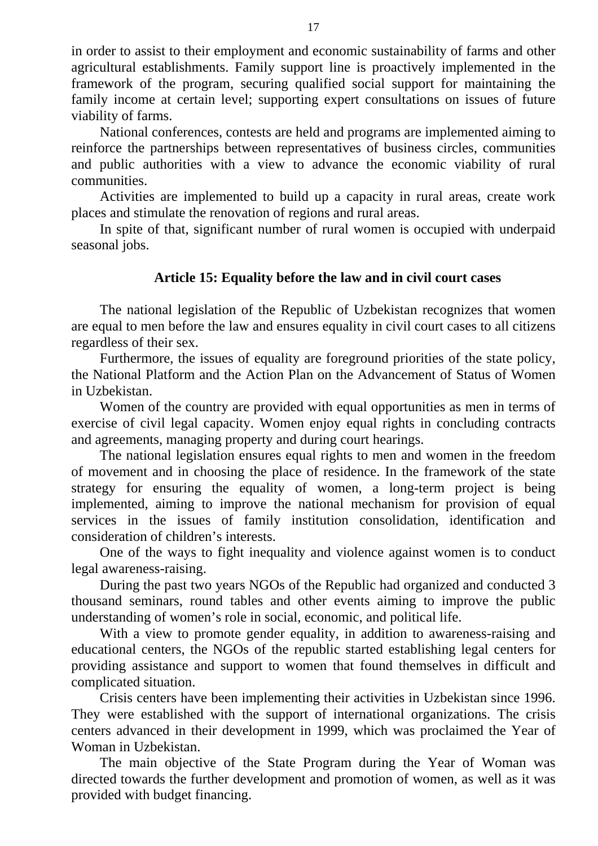in order to assist to their employment and economic sustainability of farms and other agricultural establishments. Family support line is proactively implemented in the framework of the program, securing qualified social support for maintaining the family income at certain level; supporting expert consultations on issues of future viability of farms.

National conferences, contests are held and programs are implemented aiming to reinforce the partnerships between representatives of business circles, communities and public authorities with a view to advance the economic viability of rural communities.

Activities are implemented to build up a capacity in rural areas, create work places and stimulate the renovation of regions and rural areas.

In spite of that, significant number of rural women is occupied with underpaid seasonal jobs.

## **Article 15: Equality before the law and in civil court cases**

The national legislation of the Republic of Uzbekistan recognizes that women are equal to men before the law and ensures equality in civil court cases to all citizens regardless of their sex.

Furthermore, the issues of equality are foreground priorities of the state policy, the National Platform and the Action Plan on the Advancement of Status of Women in Uzbekistan.

Women of the country are provided with equal opportunities as men in terms of exercise of civil legal capacity. Women enjoy equal rights in concluding contracts and agreements, managing property and during court hearings.

The national legislation ensures equal rights to men and women in the freedom of movement and in choosing the place of residence. In the framework of the state strategy for ensuring the equality of women, a long-term project is being implemented, aiming to improve the national mechanism for provision of equal services in the issues of family institution consolidation, identification and consideration of children's interests.

One of the ways to fight inequality and violence against women is to conduct legal awareness-raising.

During the past two years NGOs of the Republic had organized and conducted 3 thousand seminars, round tables and other events aiming to improve the public understanding of women's role in social, economic, and political life.

With a view to promote gender equality, in addition to awareness-raising and educational centers, the NGOs of the republic started establishing legal centers for providing assistance and support to women that found themselves in difficult and complicated situation.

Crisis centers have been implementing their activities in Uzbekistan since 1996. They were established with the support of international organizations. The crisis centers advanced in their development in 1999, which was proclaimed the Year of Woman in Uzbekistan.

The main objective of the State Program during the Year of Woman was directed towards the further development and promotion of women, as well as it was provided with budget financing.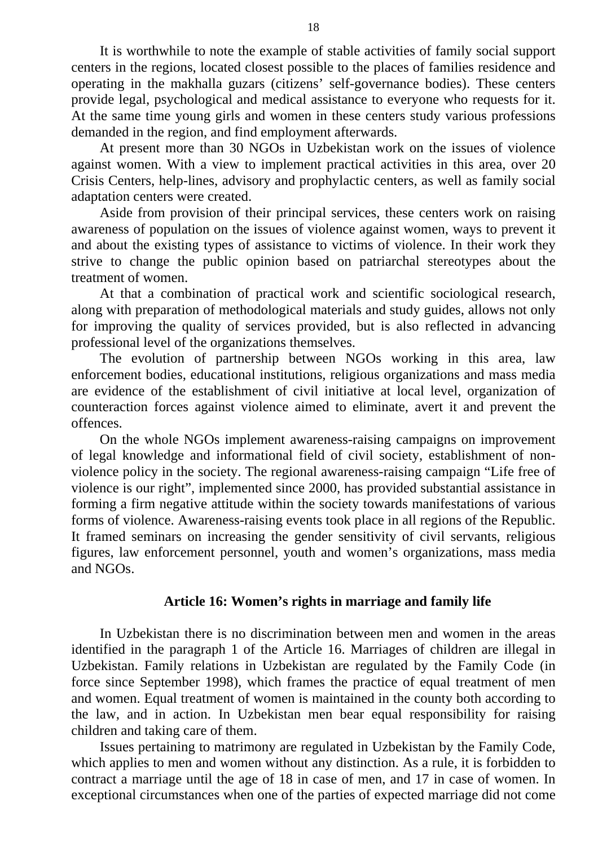It is worthwhile to note the example of stable activities of family social support centers in the regions, located closest possible to the places of families residence and operating in the makhalla guzars (citizens' self-governance bodies). These centers provide legal, psychological and medical assistance to everyone who requests for it. At the same time young girls and women in these centers study various professions demanded in the region, and find employment afterwards.

At present more than 30 NGOs in Uzbekistan work on the issues of violence against women. With a view to implement practical activities in this area, over 20 Crisis Centers, help-lines, advisory and prophylactic centers, as well as family social adaptation centers were created.

Aside from provision of their principal services, these centers work on raising awareness of population on the issues of violence against women, ways to prevent it and about the existing types of assistance to victims of violence. In their work they strive to change the public opinion based on patriarchal stereotypes about the treatment of women.

At that a combination of practical work and scientific sociological research, along with preparation of methodological materials and study guides, allows not only for improving the quality of services provided, but is also reflected in advancing professional level of the organizations themselves.

The evolution of partnership between NGOs working in this area, law enforcement bodies, educational institutions, religious organizations and mass media are evidence of the establishment of civil initiative at local level, organization of counteraction forces against violence aimed to eliminate, avert it and prevent the offences.

On the whole NGOs implement awareness-raising campaigns on improvement of legal knowledge and informational field of civil society, establishment of nonviolence policy in the society. The regional awareness-raising campaign "Life free of violence is our right", implemented since 2000, has provided substantial assistance in forming a firm negative attitude within the society towards manifestations of various forms of violence. Awareness-raising events took place in all regions of the Republic. It framed seminars on increasing the gender sensitivity of civil servants, religious figures, law enforcement personnel, youth and women's organizations, mass media and NGOs.

## **Article 16: Women's rights in marriage and family life**

In Uzbekistan there is no discrimination between men and women in the areas identified in the paragraph 1 of the Article 16. Marriages of children are illegal in Uzbekistan. Family relations in Uzbekistan are regulated by the Family Code (in force since September 1998), which frames the practice of equal treatment of men and women. Equal treatment of women is maintained in the county both according to the law, and in action. In Uzbekistan men bear equal responsibility for raising children and taking care of them.

Issues pertaining to matrimony are regulated in Uzbekistan by the Family Code, which applies to men and women without any distinction. As a rule, it is forbidden to contract a marriage until the age of 18 in case of men, and 17 in case of women. In exceptional circumstances when one of the parties of expected marriage did not come